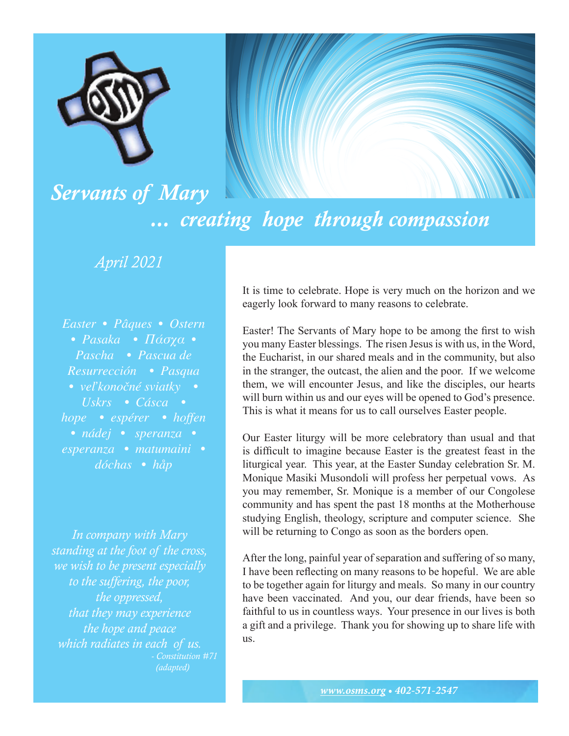

## *... creating hope through compassion*

## *April 2021*

*Servants of Mary*

*Easter • Pâques • Ostern • Pasaka • Πάσχα • Pascha • Pascua de Resurrección • Pasqua • veľkonočné sviatky • Uskrs • Cásca • hope • espérer • hoffen • nádej • speranza • esperanza • matumaini •* 

*dóchas • håp*

*In company with Mary standing at the foot of the cross, we wish to be present especially to the suffering, the poor, the oppressed, that they may experience the hope and peace which radiates in each of us. - Constitution #71 (adapted)* 

It is time to celebrate. Hope is very much on the horizon and we eagerly look forward to many reasons to celebrate.

Easter! The Servants of Mary hope to be among the first to wish you many Easter blessings. The risen Jesus is with us, in the Word, the Eucharist, in our shared meals and in the community, but also in the stranger, the outcast, the alien and the poor. If we welcome them, we will encounter Jesus, and like the disciples, our hearts will burn within us and our eyes will be opened to God's presence. This is what it means for us to call ourselves Easter people.

Our Easter liturgy will be more celebratory than usual and that is difficult to imagine because Easter is the greatest feast in the liturgical year. This year, at the Easter Sunday celebration Sr. M. Monique Masiki Musondoli will profess her perpetual vows. As you may remember, Sr. Monique is a member of our Congolese community and has spent the past 18 months at the Motherhouse studying English, theology, scripture and computer science. She will be returning to Congo as soon as the borders open.

After the long, painful year of separation and suffering of so many, I have been reflecting on many reasons to be hopeful. We are able to be together again for liturgy and meals. So many in our country have been vaccinated. And you, our dear friends, have been so faithful to us in countless ways. Your presence in our lives is both a gift and a privilege. Thank you for showing up to share life with us.